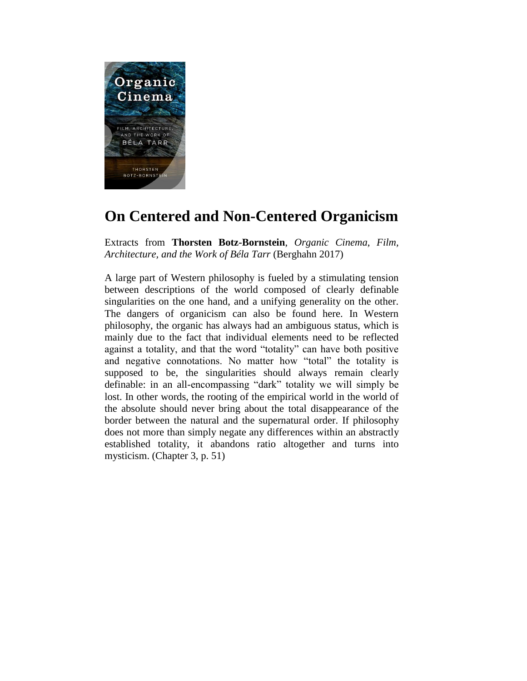

## **On Centered and Non-Centered Organicism**

Extracts from **Thorsten Botz-Bornstein**, *Organic Cinema*, *Film, Architecture, and the Work of Béla Tarr* (Berghahn 2017)

A large part of Western philosophy is fueled by a stimulating tension between descriptions of the world composed of clearly definable singularities on the one hand, and a unifying generality on the other. The dangers of organicism can also be found here. In Western philosophy, the organic has always had an ambiguous status, which is mainly due to the fact that individual elements need to be reflected against a totality, and that the word "totality" can have both positive and negative connotations. No matter how "total" the totality is supposed to be, the singularities should always remain clearly definable: in an all-encompassing "dark" totality we will simply be lost. In other words, the rooting of the empirical world in the world of the absolute should never bring about the total disappearance of the border between the natural and the supernatural order. If philosophy does not more than simply negate any differences within an abstractly established totality, it abandons ratio altogether and turns into mysticism. (Chapter 3, p. 51)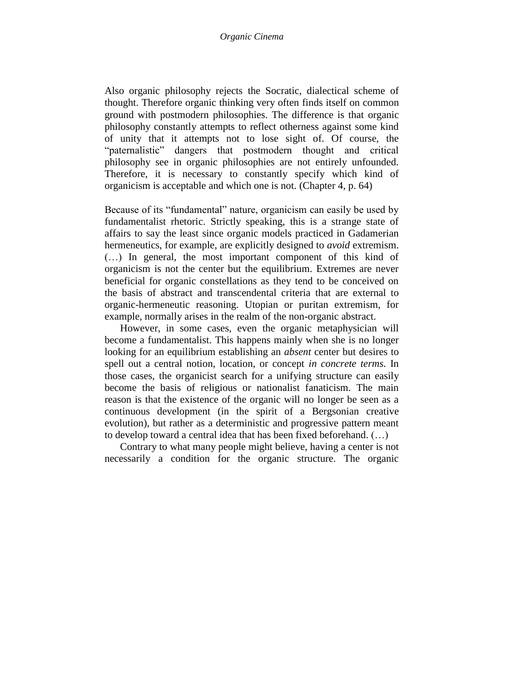Also organic philosophy rejects the Socratic, dialectical scheme of thought. Therefore organic thinking very often finds itself on common ground with postmodern philosophies. The difference is that organic philosophy constantly attempts to reflect otherness against some kind of unity that it attempts not to lose sight of. Of course, the "paternalistic" dangers that postmodern thought and critical philosophy see in organic philosophies are not entirely unfounded. Therefore, it is necessary to constantly specify which kind of organicism is acceptable and which one is not. (Chapter 4, p. 64)

Because of its "fundamental" nature, organicism can easily be used by fundamentalist rhetoric. Strictly speaking, this is a strange state of affairs to say the least since organic models practiced in Gadamerian hermeneutics, for example, are explicitly designed to *avoid* extremism. (…) In general, the most important component of this kind of organicism is not the center but the equilibrium. Extremes are never beneficial for organic constellations as they tend to be conceived on the basis of abstract and transcendental criteria that are external to organic-hermeneutic reasoning. Utopian or puritan extremism, for example, normally arises in the realm of the non-organic abstract.

However, in some cases, even the organic metaphysician will become a fundamentalist. This happens mainly when she is no longer looking for an equilibrium establishing an *absent* center but desires to spell out a central notion, location, or concept *in concrete terms*. In those cases, the organicist search for a unifying structure can easily become the basis of religious or nationalist fanaticism. The main reason is that the existence of the organic will no longer be seen as a continuous development (in the spirit of a Bergsonian creative evolution), but rather as a deterministic and progressive pattern meant to develop toward a central idea that has been fixed beforehand. (…)

Contrary to what many people might believe, having a center is not necessarily a condition for the organic structure. The organic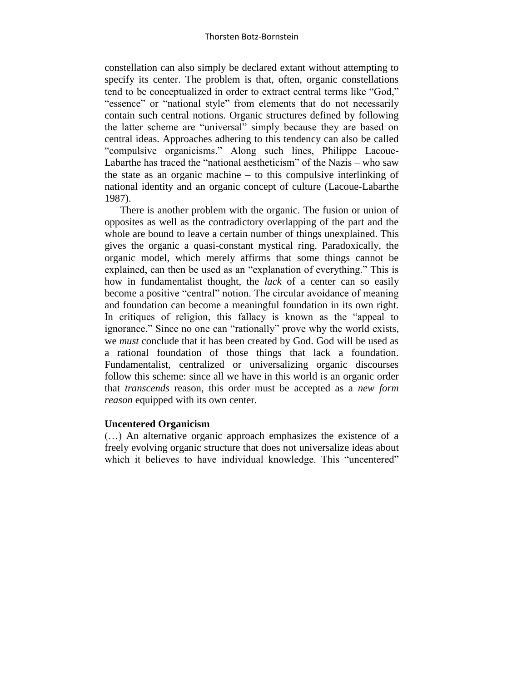constellation can also simply be declared extant without attempting to specify its center. The problem is that, often, organic constellations tend to be conceptualized in order to extract central terms like "God," "essence" or "national style" from elements that do not necessarily contain such central notions. Organic structures defined by following the latter scheme are "universal" simply because they are based on central ideas. Approaches adhering to this tendency can also be called "compulsive organicisms." Along such lines, Philippe Lacoue-Labarthe has traced the "national aestheticism" of the Nazis – who saw the state as an organic machine – to this compulsive interlinking of national identity and an organic concept of culture (Lacoue-Labarthe 1987).

There is another problem with the organic. The fusion or union of opposites as well as the contradictory overlapping of the part and the whole are bound to leave a certain number of things unexplained. This gives the organic a quasi-constant mystical ring. Paradoxically, the organic model, which merely affirms that some things cannot be explained, can then be used as an "explanation of everything." This is how in fundamentalist thought, the *lack* of a center can so easily become a positive "central" notion. The circular avoidance of meaning and foundation can become a meaningful foundation in its own right. In critiques of religion, this fallacy is known as the "appeal to ignorance." Since no one can "rationally" prove why the world exists, we *must* conclude that it has been created by God. God will be used as a rational foundation of those things that lack a foundation. Fundamentalist, centralized or universalizing organic discourses follow this scheme: since all we have in this world is an organic order that *transcends* reason, this order must be accepted as a *new form reason* equipped with its own center.

## **Uncentered Organicism**

(…) An alternative organic approach emphasizes the existence of a freely evolving organic structure that does not universalize ideas about which it believes to have individual knowledge. This "uncentered"